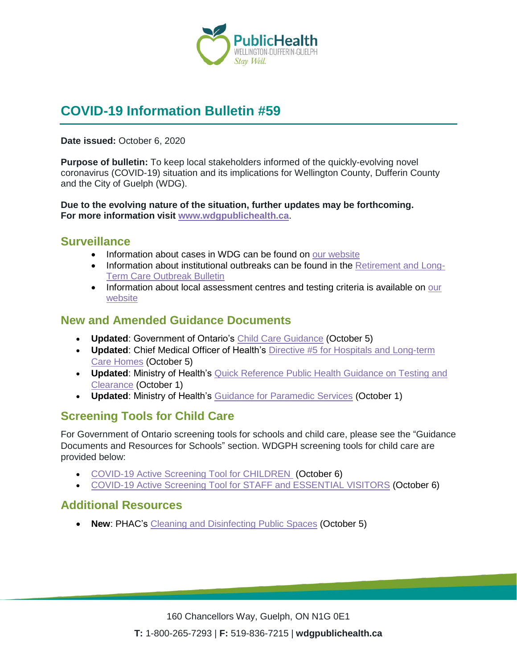

# **COVID-19 Information Bulletin #59**

**Date issued:** October 6, 2020

**Purpose of bulletin:** To keep local stakeholders informed of the quickly-evolving novel coronavirus (COVID-19) situation and its implications for Wellington County, Dufferin County and the City of Guelph (WDG).

**Due to the evolving nature of the situation, further updates may be forthcoming. For more information visit [www.wdgpublichealth.ca](http://www.wdgpublichealth.ca/)**.

#### **Surveillance**

- Information about cases in WDG can be found on [our website](https://wdgpublichealth.ca/your-health/covid-19-information-public/status-cases-wdg)
- Information about institutional outbreaks can be found in the [Retirement and Long-](https://wdgpublichealth.ca/node/1542)[Term Care Outbreak Bulletin](https://wdgpublichealth.ca/node/1542)
- Information about local assessment centres and testing criteria is available on our [website](https://www.wdgpublichealth.ca/your-health/covid-19-information-public/assessment-centres-wdg)

#### **New and Amended Guidance Documents**

- **Updated**: Government of Ontario's [Child Care Guidance](https://www.ontario.ca/page/covid-19-reopening-child-care-centres) (October 5)
- **Updated**: Chief Medical Officer of Health's [Directive #5 for Hospitals and Long-term](http://www.health.gov.on.ca/en/pro/programs/publichealth/coronavirus/dir_mem_res.aspx)  [Care Homes](http://www.health.gov.on.ca/en/pro/programs/publichealth/coronavirus/dir_mem_res.aspx) (October 5)
- **Updated**: Ministry of Health's [Quick Reference Public Health Guidance on Testing and](http://www.health.gov.on.ca/en/pro/programs/publichealth/coronavirus/docs/2019_testing_clearing_cases_guidance.pdf)  [Clearance](http://www.health.gov.on.ca/en/pro/programs/publichealth/coronavirus/docs/2019_testing_clearing_cases_guidance.pdf) (October 1)
- **Updated**: Ministry of Health's [Guidance for Paramedic Services](http://www.health.gov.on.ca/en/pro/programs/publichealth/coronavirus/docs/2019_paramedics_guidance.pdf) (October 1)

### **Screening Tools for Child Care**

For Government of Ontario screening tools for schools and child care, please see the "Guidance Documents and Resources for Schools" section. WDGPH screening tools for child care are provided below:

- [COVID-19 Active Screening Tool for](https://www.wdgpublichealth.ca/sites/default/files/covid-19_active_screening_tool_template.xlsx) CHILDREN (October 6)
- [COVID-19 Active Screening Tool for](https://www.wdgpublichealth.ca/sites/default/files/covid-19_active_screening_tool_template_staff_oct_6.xlsx) STAFF and ESSENTIAL VISITORS (October 6)

### **Additional Resources**

• **New: PHAC's [Cleaning and Disinfecting Public Spaces](https://www.canada.ca/en/public-health/services/publications/diseases-conditions/cleaning-disinfecting-public-spaces.html) (October 5)**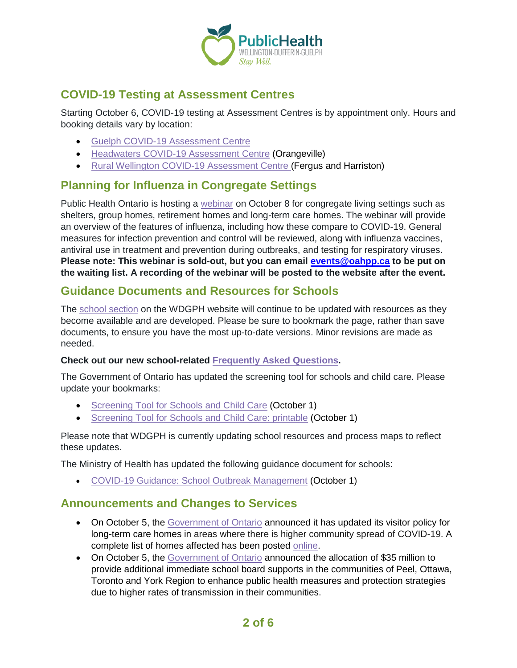

## **COVID-19 Testing at Assessment Centres**

Starting October 6, COVID-19 testing at Assessment Centres is by appointment only. Hours and booking details vary by location:

- Guelph [COVID-19 Assessment](https://www.wdgpublichealth.ca/your-health/covid-19-information-public/assessment-centres-wdg/guelph-covid-19-assessment-centre) Centre
- Headwaters [COVID-19 Assessment Centre](https://www.wdgpublichealth.ca/your-health/covid-19-information-public/assessment-centres-wdg/headwaters-covid-19-assessment-centre) (Orangeville)
- Rural Wellington [COVID-19 Assessment Centre](https://www.wdgpublichealth.ca/your-health/covid-19-information-public/assessment-centres-wdg/rural-wellington-covid-19-assessment) (Fergus and Harriston)

#### **Planning for Influenza in Congregate Settings**

Public Health Ontario is hosting a [webinar](https://elink.clickdimensions.com/m/1/81877441/02-t20276-8afbae96033a4d4093cf4c24e214fc23/1/1/1) on October 8 for congregate living settings such as shelters, group homes, retirement homes and long-term care homes. The webinar will provide an overview of the features of influenza, including how these compare to COVID-19. General measures for infection prevention and control will be reviewed, along with influenza vaccines, antiviral use in treatment and prevention during outbreaks, and testing for respiratory viruses. **Please note: This webinar is sold-out, but you can email [events@oahpp.ca](mailto:events@oahpp.ca) to be put on the waiting list. A recording of the webinar will be posted to the website after the event.**

#### **Guidance Documents and Resources for Schools**

The [school section](https://www.wdgpublichealth.ca/your-health/covid-19-information-schools-parents-and-teachers/schools-and-post-secondary) on the WDGPH website will continue to be updated with resources as they become available and are developed. Please be sure to bookmark the page, rather than save documents, to ensure you have the most up-to-date versions. Minor revisions are made as needed.

#### **Check out our new school-related [Frequently Asked Questions.](https://www.wdgpublichealth.ca/your-health/covid-19-information-schools-parents-and-teachers/schools-frequently-asked-questions)**

The Government of Ontario has updated the screening tool for schools and child care. Please update your bookmarks:

- [Screening Tool for Schools](https://covid-19.ontario.ca/school-screening/) and Child Care (October 1)
- [Screening Tool for Schools](https://covid-19.ontario.ca/covid19-cms-assets/2020-10/Screening%20Children%20v1.0%202020-10-01%20FINAL%20EN%20AODA.pdf) and Child Care: printable (October 1)

Please note that WDGPH is currently updating school resources and process maps to reflect these updates.

The Ministry of Health has updated the following guidance document for schools:

• [COVID-19 Guidance: School Outbreak Management](http://www.health.gov.on.ca/en/pro/programs/publichealth/coronavirus/docs/COVID-19_school_outbreak_guidance.pdf) (October 1)

#### **Announcements and Changes to Services**

- On October 5, the [Government of Ontario](https://news.ontario.ca/en/release/58680/new-covid-19-precautions-at-long-term-care-homes) announced it has updated its visitor policy for long-term care homes in areas where there is higher community spread of COVID-19. A complete list of homes affected has been posted [online.](https://www.ontario.ca/page/covid-19-long-term-care-homes-in-areas-visitor-restrictions)
- On October 5, the [Government of Ontario](https://news.ontario.ca/en/release/58670/ontario-releases-35-million-to-hire-more-staff-improve-remote-learning-in-targeted-communities) announced the allocation of \$35 million to provide additional immediate school board supports in the communities of Peel, Ottawa, Toronto and York Region to enhance public health measures and protection strategies due to higher rates of transmission in their communities.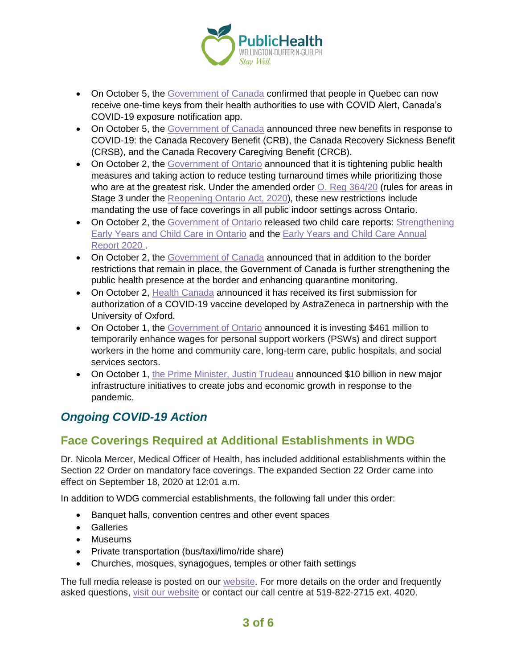

- On October 5, the [Government of Canada](https://pm.gc.ca/en/news/news-releases/2020/10/05/canadas-covid-19-exposure-notification-app-now-available-quebec) confirmed that people in Quebec can now receive one-time keys from their health authorities to use with COVID Alert, Canada's COVID-19 exposure notification app.
- On October 5, the [Government of Canada](https://www.canada.ca/en/revenue-agency/news/2020/10/the-government-of-canada-launches-applications-for-the-canada-recovery-sickness-benefit-and-the-canada-recovery-caregiving-benefit.html) announced three new benefits in response to COVID-19: the Canada Recovery Benefit (CRB), the Canada Recovery Sickness Benefit (CRSB), and the Canada Recovery Caregiving Benefit (CRCB).
- On October 2, the [Government of Ontario](https://news.ontario.ca/en/release/58645/ontario-implementing-additional-public-health-and-testing-measures-to-keep-people-safe) announced that it is tightening public health measures and taking action to reduce testing turnaround times while prioritizing those who are at the greatest risk. Under the amended order  $Q$ . Reg  $364/20$  (rules for areas in Stage 3 under the [Reopening Ontario Act, 2020\)](https://www.ontario.ca/laws/statute/20r17), these new restrictions include mandating the use of face coverings in all public indoor settings across Ontario.
- On October 2, the [Government of Ontario](https://news.ontario.ca/en/release/58649/ontario-taking-action-to-improve-child-care) released two child care reports: Strengthening [Early Years and Child Care in Ontario](https://www.ontario.ca/page/strengthening-early-years-and-child-care-ontario-2020-report) and the [Early Years and Child Care Annual](http://edu.gov.on.ca/childcare/annual-report-2020.html)  [Report 2020](http://edu.gov.on.ca/childcare/annual-report-2020.html) .
- On October 2, the [Government of Canada](https://www.canada.ca/en/immigration-refugees-citizenship/news/2020/10/government-introduces-new-border-measures-to-protect-canadian-public-health-provides-update-on-travel-restrictions.html) announced that in addition to the border restrictions that remain in place, the Government of Canada is further strengthening the public health presence at the border and enhancing quarantine monitoring.
- On October 2, [Health Canada](https://www.canada.ca/en/health-canada/news/2020/10/health-canada-begins-first-authorization-review-of-a-covid-19-vaccine-submission.html) announced it has received its first submission for authorization of a COVID-19 vaccine developed by AstraZeneca in partnership with the University of Oxford.
- On October 1, the [Government of Ontario](https://news.ontario.ca/en/release/58627/ontario-provides-461-million-to-temporarily-enhance-wages-for-personal-support-workers) announced it is investing \$461 million to temporarily enhance wages for personal support workers (PSWs) and direct support workers in the home and community care, long-term care, public hospitals, and social services sectors.
- On October 1, [the Prime Minister, Justin Trudeau](https://pm.gc.ca/en/news/news-releases/2020/10/01/prime-minister-announces-infrastructure-plan-create-jobs-and-grow) announced \$10 billion in new major infrastructure initiatives to create jobs and economic growth in response to the pandemic.

# *Ongoing COVID-19 Action*

## **Face Coverings Required at Additional Establishments in WDG**

Dr. Nicola Mercer, Medical Officer of Health, has included additional establishments within the Section 22 Order on mandatory face coverings. The expanded Section 22 Order came into effect on September 18, 2020 at 12:01 a.m.

In addition to WDG commercial establishments, the following fall under this order:

- Banquet halls, convention centres and other event spaces
- Galleries
- Museums
- Private transportation (bus/taxi/limo/ride share)
- Churches, mosques, synagogues, temples or other faith settings

The full media release is posted on our [website.](https://www.wdgpublichealth.ca/news/increasing-cases-our-region-prompt-updates-dr-nicola-mercer%E2%80%99s-section-22-order) For more details on the order and frequently asked questions, [visit our website](https://www.wdgpublichealth.ca/your-health/covid-19-information-public/face-coverings-class-order-and-faqs) or contact our call centre at 519-822-2715 ext. 4020.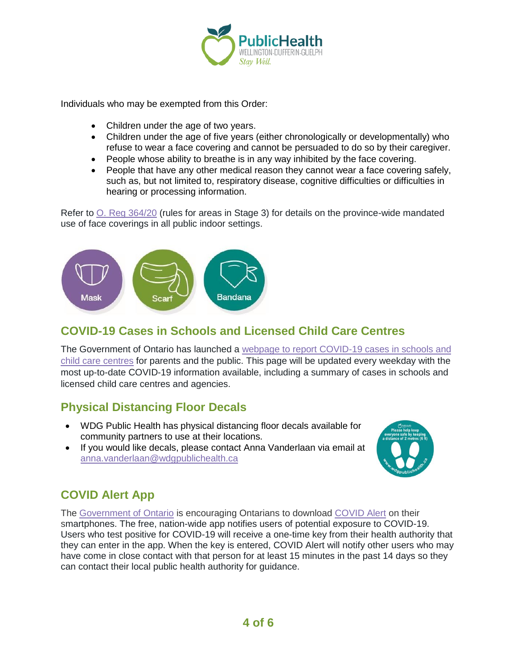

Individuals who may be exempted from this Order:

- Children under the age of two years.
- Children under the age of five years (either chronologically or developmentally) who refuse to wear a face covering and cannot be persuaded to do so by their caregiver.
- People whose ability to breathe is in any way inhibited by the face covering.
- People that have any other medical reason they cannot wear a face covering safely, such as, but not limited to, respiratory disease, cognitive difficulties or difficulties in hearing or processing information.

Refer to [O. Reg 364/20](https://www.ontario.ca/laws/regulation/200364) (rules for areas in Stage 3) for details on the province-wide mandated use of face coverings in all public indoor settings.



### **COVID-19 Cases in Schools and Licensed Child Care Centres**

The Government of Ontario has launched a [webpage to report COVID-19 cases in schools and](https://www.ontario.ca/page/covid-19-cases-schools-and-child-care-centres)  [child care centres](https://www.ontario.ca/page/covid-19-cases-schools-and-child-care-centres) for parents and the public. This page will be updated every weekday with the most up-to-date COVID-19 information available, including a summary of cases in schools and licensed child care centres and agencies.

### **Physical Distancing Floor Decals**

- WDG Public Health has physical distancing floor decals available for community partners to use at their locations.
- If you would like decals, please contact Anna Vanderlaan via email at [anna.vanderlaan@wdgpublichealth.ca](mailto:anna.vanderlaan@wdgpublichealth.ca)



## **COVID Alert App**

The [Government of Ontario](https://news.ontario.ca/opo/en/2020/07/covid-alert-available-for-download-beginning-today.html) is encouraging Ontarians to download [COVID Alert](https://covid-19.ontario.ca/covidalert?_ga=2.68068817.1702415536.1596548534-1123331746.1579028832) on their smartphones. The free, nation-wide app notifies users of potential exposure to COVID-19. Users who test positive for COVID-19 will receive a one-time key from their health authority that they can enter in the app. When the key is entered, COVID Alert will notify other users who may have come in close contact with that person for at least 15 minutes in the past 14 days so they can contact their local public health authority for guidance.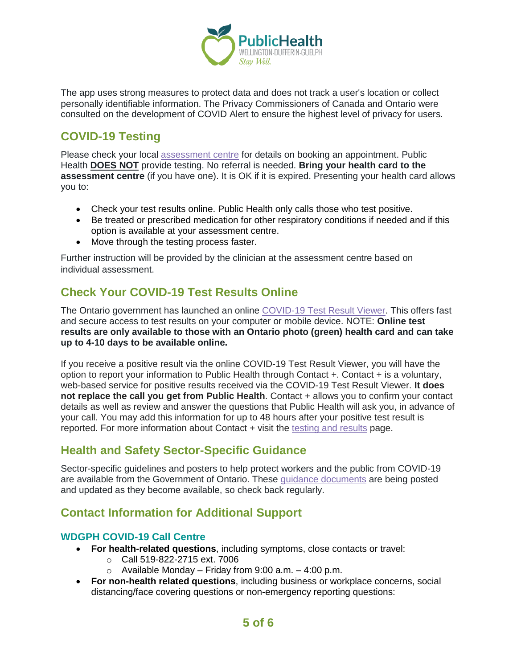

The app uses strong measures to protect data and does not track a user's location or collect personally identifiable information. The Privacy Commissioners of Canada and Ontario were consulted on the development of COVID Alert to ensure the highest level of privacy for users.

## **COVID-19 Testing**

Please check your local [assessment centre](https://wdgpublichealth.ca/your-health/covid-19-information-public/assessment-centres-wdg) for details on booking an appointment. Public Health **DOES NOT** provide testing. No referral is needed. **Bring your health card to the assessment centre** (if you have one). It is OK if it is expired. Presenting your health card allows you to:

- Check your test results online. Public Health only calls those who test positive.
- Be treated or prescribed medication for other respiratory conditions if needed and if this option is available at your assessment centre.
- Move through the testing process faster.

Further instruction will be provided by the clinician at the assessment centre based on individual assessment.

## **Check Your COVID-19 Test Results Online**

The Ontario government has launched an online [COVID-19 Test Result Viewer.](https://covid19results.ehealthontario.ca:4443/agree) This offers fast and secure access to test results on your computer or mobile device. NOTE: **Online test results are only available to those with an Ontario photo (green) health card and can take up to 4-10 days to be available online.**

If you receive a positive result via the online COVID-19 Test Result Viewer, you will have the option to report your information to Public Health through Contact +. Contact + is a voluntary, web-based service for positive results received via the COVID-19 Test Result Viewer. **It does not replace the call you get from Public Health**. Contact + allows you to confirm your contact details as well as review and answer the questions that Public Health will ask you, in advance of your call. You may add this information for up to 48 hours after your positive test result is reported. For more information about Contact + visit the [testing and results](https://www.wdgpublichealth.ca/your-health/covid-19-information-public/testing-and-results) page.

### **Health and Safety Sector-Specific Guidance**

Sector-specific guidelines and posters to help protect workers and the public from COVID-19 are available from the Government of Ontario. These [guidance documents](https://www.ontario.ca/page/resources-prevent-covid-19-workplace) are being posted and updated as they become available, so check back regularly.

## **Contact Information for Additional Support**

#### **WDGPH COVID-19 Call Centre**

- **For health-related questions**, including symptoms, close contacts or travel:
	- o Call 519-822-2715 ext. 7006
	- $\circ$  Available Monday Friday from 9:00 a.m. 4:00 p.m.
- **For non-health related questions**, including business or workplace concerns, social distancing/face covering questions or non-emergency reporting questions: